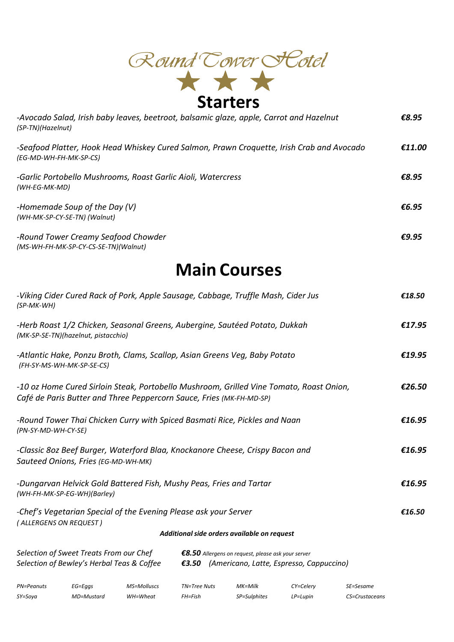

| -Avocado Salad, Irish baby leaves, beetroot, balsamic glaze, apple, Carrot and Hazelnut<br>(SP-TN)(Hazelnut)        | €8.95  |
|---------------------------------------------------------------------------------------------------------------------|--------|
| -Seafood Platter, Hook Head Whiskey Cured Salmon, Prawn Croquette, Irish Crab and Avocado<br>(EG-MD-WH-FH-MK-SP-CS) | €11.00 |
| -Garlic Portobello Mushrooms, Roast Garlic Aioli, Watercress<br>(WH-EG-MK-MD)                                       | €8.95  |
| -Homemade Soup of the Day (V)<br>(WH-MK-SP-CY-SE-TN) (Walnut)                                                       | €6.95  |
| -Round Tower Creamy Seafood Chowder<br>(MS-WH-FH-MK-SP-CY-CS-SE-TN)(Walnut)                                         | €9.95  |

## **Main Courses**

| -Viking Cider Cured Rack of Pork, Apple Sausage, Cabbage, Truffle Mash, Cider Jus<br>$(SP-MK-WH)$                                                                                                       |             |             |                                             |         |           |           |        |
|---------------------------------------------------------------------------------------------------------------------------------------------------------------------------------------------------------|-------------|-------------|---------------------------------------------|---------|-----------|-----------|--------|
| -Herb Roast 1/2 Chicken, Seasonal Greens, Aubergine, Sautéed Potato, Dukkah<br>(MK-SP-SE-TN)(hazelnut, pistacchio)                                                                                      |             |             |                                             |         |           |           | £17.95 |
| -Atlantic Hake, Ponzu Broth, Clams, Scallop, Asian Greens Veq, Baby Potato<br>(FH-SY-MS-WH-MK-SP-SE-CS)                                                                                                 |             |             |                                             |         |           |           |        |
| -10 oz Home Cured Sirloin Steak, Portobello Mushroom, Grilled Vine Tomato, Roast Onion,<br>Café de Paris Butter and Three Peppercorn Sauce, Fries (MK-FH-MD-SP)                                         |             |             |                                             |         |           |           |        |
| -Round Tower Thai Chicken Curry with Spiced Basmati Rice, Pickles and Naan<br>(PN-SY-MD-WH-CY-SE)                                                                                                       |             |             |                                             |         |           |           | £16.95 |
| -Classic 8oz Beef Burger, Waterford Blaa, Knockanore Cheese, Crispy Bacon and<br>Sauteed Onions, Fries (EG-MD-WH-MK)                                                                                    |             |             |                                             |         |           |           | £16.95 |
| -Dungarvan Helvick Gold Battered Fish, Mushy Peas, Fries and Tartar<br>(WH-FH-MK-SP-EG-WH)(Barley)                                                                                                      |             |             |                                             |         |           |           | £16.95 |
| -Chef's Vegetarian Special of the Evening Please ask your Server<br>(ALLERGENS ON REQUEST)                                                                                                              |             |             |                                             |         |           |           | €16.50 |
|                                                                                                                                                                                                         |             |             | Additional side orders available on request |         |           |           |        |
| Selection of Sweet Treats From our Chef<br>$\epsilon$ 8.50 Allergens on request, please ask your server<br>Selection of Bewley's Herbal Teas & Coffee<br>€3.50 (Americano, Latte, Espresso, Cappuccino) |             |             |                                             |         |           |           |        |
| <b>PN=Peanuts</b>                                                                                                                                                                                       | $EG = Eqqs$ | MS=Molluscs | TN=Tree Nuts                                | MK=Milk | CY=Celery | SE=Sesame |        |

*SY=Soya MD=Mustard WH=Wheat FH=Fish SP=Sulphites LP=Lupin CS=Crustaceans*